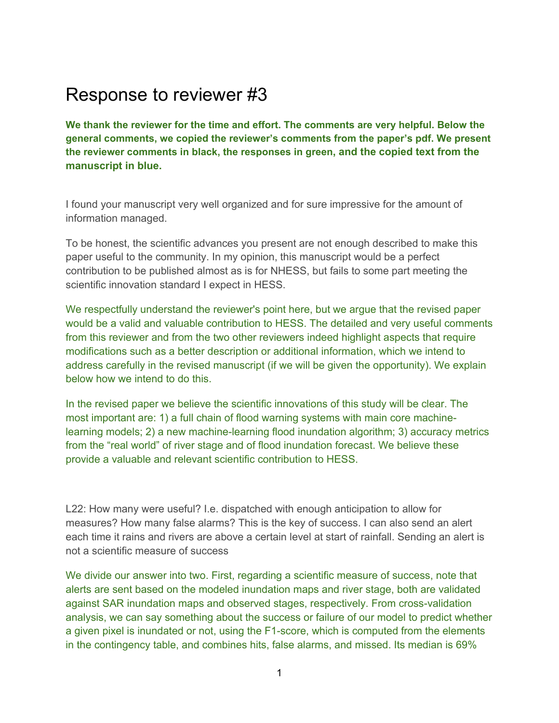## Response to reviewer #3

**We thank the reviewer for the time and effort. The comments are very helpful. Below the general comments, we copied the reviewer's comments from the paper's pdf. We present the reviewer comments in black, the responses in green, and the copied text from the manuscript in blue.**

I found your manuscript very well organized and for sure impressive for the amount of information managed.

To be honest, the scientific advances you present are not enough described to make this paper useful to the community. In my opinion, this manuscript would be a perfect contribution to be published almost as is for NHESS, but fails to some part meeting the scientific innovation standard I expect in HESS.

We respectfully understand the reviewer's point here, but we argue that the revised paper would be a valid and valuable contribution to HESS. The detailed and very useful comments from this reviewer and from the two other reviewers indeed highlight aspects that require modifications such as a better description or additional information, which we intend to address carefully in the revised manuscript (if we will be given the opportunity). We explain below how we intend to do this.

In the revised paper we believe the scientific innovations of this study will be clear. The most important are: 1) a full chain of flood warning systems with main core machinelearning models; 2) a new machine-learning flood inundation algorithm; 3) accuracy metrics from the "real world" of river stage and of flood inundation forecast. We believe these provide a valuable and relevant scientific contribution to HESS.

L22: How many were useful? I.e. dispatched with enough anticipation to allow for measures? How many false alarms? This is the key of success. I can also send an alert each time it rains and rivers are above a certain level at start of rainfall. Sending an alert is not a scientific measure of success

We divide our answer into two. First, regarding a scientific measure of success, note that alerts are sent based on the modeled inundation maps and river stage, both are validated against SAR inundation maps and observed stages, respectively. From cross-validation analysis, we can say something about the success or failure of our model to predict whether a given pixel is inundated or not, using the F1-score, which is computed from the elements in the contingency table, and combines hits, false alarms, and missed. Its median is 69%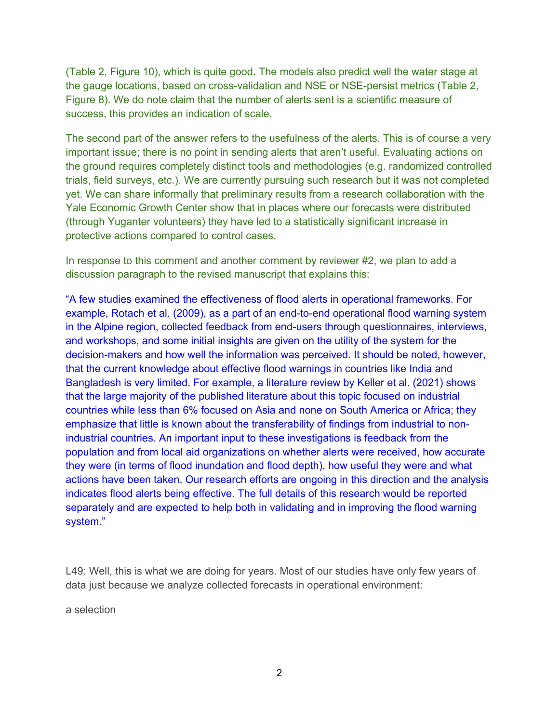(Table 2, Figure 10), which is quite good. The models also predict well the water stage at the gauge locations, based on cross-validation and NSE or NSE-persist metrics (Table 2, Figure 8). We do note claim that the number of alerts sent is a scientific measure of success, this provides an indication of scale.

The second part of the answer refers to the usefulness of the alerts. This is of course a very important issue; there is no point in sending alerts that aren't useful. Evaluating actions on the ground requires completely distinct tools and methodologies (e.g. randomized controlled trials, field surveys, etc.). We are currently pursuing such research but it was not completed yet. We can share informally that preliminary results from a research collaboration with the Yale Economic Growth Center show that in places where our forecasts were distributed (through Yuganter volunteers) they have led to a statistically significant increase in protective actions compared to control cases.

In response to this comment and another comment by reviewer #2, we plan to add a discussion paragraph to the revised manuscript that explains this:

"A few studies examined the effectiveness of flood alerts in operational frameworks. For example, Rotach et al. (2009), as a part of an end-to-end operational flood warning system in the Alpine region, collected feedback from end-users through questionnaires, interviews, and workshops, and some initial insights are given on the utility of the system for the decision-makers and how well the information was perceived. It should be noted, however, that the current knowledge about effective flood warnings in countries like India and Bangladesh is very limited. For example, a literature review by Keller et al. (2021) shows that the large majority of the published literature about this topic focused on industrial countries while less than 6% focused on Asia and none on South America or Africa; they emphasize that little is known about the transferability of findings from industrial to nonindustrial countries. An important input to these investigations is feedback from the population and from local aid organizations on whether alerts were received, how accurate they were (in terms of flood inundation and flood depth), how useful they were and what actions have been taken. Our research efforts are ongoing in this direction and the analysis indicates flood alerts being effective. The full details of this research would be reported separately and are expected to help both in validating and in improving the flood warning system."

L49: Well, this is what we are doing for years. Most of our studies have only few years of data just because we analyze collected forecasts in operational environment:

a selection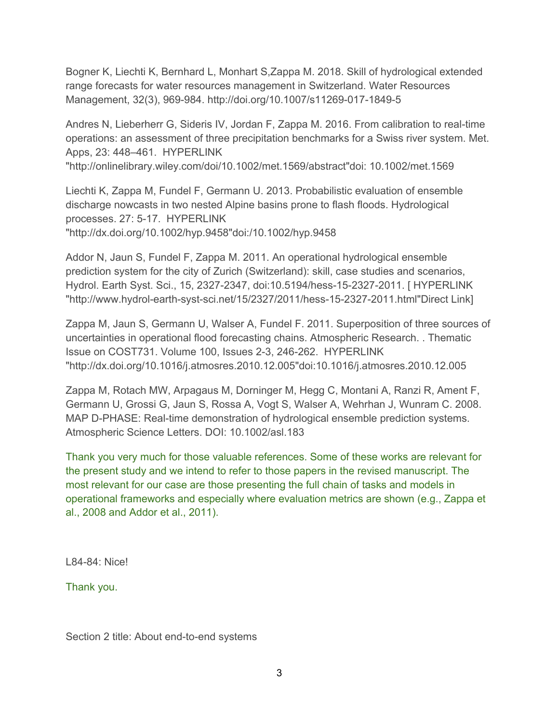Bogner K, Liechti K, Bernhard L, Monhart S,Zappa M. 2018. Skill of hydrological extended range forecasts for water resources management in Switzerland. Water Resources Management, 32(3), 969-984. http://doi.org/10.1007/s11269-017-1849-5

Andres N, Lieberherr G, Sideris IV, Jordan F, Zappa M. 2016. From calibration to real-time operations: an assessment of three precipitation benchmarks for a Swiss river system. Met. Apps, 23: 448–461. HYPERLINK

"http://onlinelibrary.wiley.com/doi/10.1002/met.1569/abstract"doi: 10.1002/met.1569

Liechti K, Zappa M, Fundel F, Germann U. 2013. Probabilistic evaluation of ensemble discharge nowcasts in two nested Alpine basins prone to flash floods. Hydrological processes. 27: 5-17. HYPERLINK "http://dx.doi.org/10.1002/hyp.9458"doi:/10.1002/hyp.9458

Addor N, Jaun S, Fundel F, Zappa M. 2011. An operational hydrological ensemble prediction system for the city of Zurich (Switzerland): skill, case studies and scenarios, Hydrol. Earth Syst. Sci., 15, 2327-2347, doi:10.5194/hess-15-2327-2011. [ HYPERLINK "http://www.hydrol-earth-syst-sci.net/15/2327/2011/hess-15-2327-2011.html"Direct Link]

Zappa M, Jaun S, Germann U, Walser A, Fundel F. 2011. Superposition of three sources of uncertainties in operational flood forecasting chains. Atmospheric Research. . Thematic Issue on COST731. Volume 100, Issues 2-3, 246-262. HYPERLINK "http://dx.doi.org/10.1016/j.atmosres.2010.12.005"doi:10.1016/j.atmosres.2010.12.005

Zappa M, Rotach MW, Arpagaus M, Dorninger M, Hegg C, Montani A, Ranzi R, Ament F, Germann U, Grossi G, Jaun S, Rossa A, Vogt S, Walser A, Wehrhan J, Wunram C. 2008. MAP D-PHASE: Real-time demonstration of hydrological ensemble prediction systems. Atmospheric Science Letters. DOI: 10.1002/asl.183

Thank you very much for those valuable references. Some of these works are relevant for the present study and we intend to refer to those papers in the revised manuscript. The most relevant for our case are those presenting the full chain of tasks and models in operational frameworks and especially where evaluation metrics are shown (e.g., Zappa et al., 2008 and Addor et al., 2011).

L84-84: Nice!

Thank you.

Section 2 title: About end-to-end systems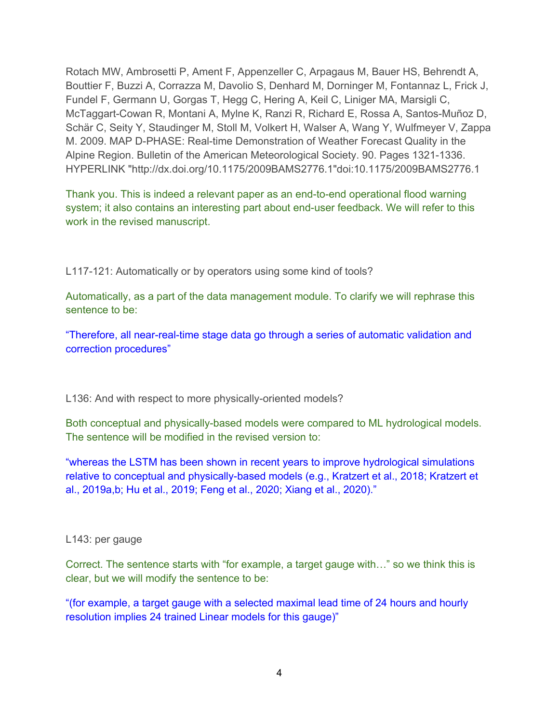Rotach MW, Ambrosetti P, Ament F, Appenzeller C, Arpagaus M, Bauer HS, Behrendt A, Bouttier F, Buzzi A, Corrazza M, Davolio S, Denhard M, Dorninger M, Fontannaz L, Frick J, Fundel F, Germann U, Gorgas T, Hegg C, Hering A, Keil C, Liniger MA, Marsigli C, McTaggart-Cowan R, Montani A, Mylne K, Ranzi R, Richard E, Rossa A, Santos-Muñoz D, Schär C, Seity Y, Staudinger M, Stoll M, Volkert H, Walser A, Wang Y, Wulfmeyer V, Zappa M. 2009. MAP D-PHASE: Real-time Demonstration of Weather Forecast Quality in the Alpine Region. Bulletin of the American Meteorological Society. 90. Pages 1321-1336. HYPERLINK "http://dx.doi.org/10.1175/2009BAMS2776.1"doi:10.1175/2009BAMS2776.1

Thank you. This is indeed a relevant paper as an end-to-end operational flood warning system; it also contains an interesting part about end-user feedback. We will refer to this work in the revised manuscript.

L117-121: Automatically or by operators using some kind of tools?

Automatically, as a part of the data management module. To clarify we will rephrase this sentence to be:

"Therefore, all near-real-time stage data go through a series of automatic validation and correction procedures"

L136: And with respect to more physically-oriented models?

Both conceptual and physically-based models were compared to ML hydrological models. The sentence will be modified in the revised version to:

"whereas the LSTM has been shown in recent years to improve hydrological simulations relative to conceptual and physically-based models (e.g., Kratzert et al., 2018; Kratzert et al., 2019a,b; Hu et al., 2019; Feng et al., 2020; Xiang et al., 2020)."

## L143: per gauge

Correct. The sentence starts with "for example, a target gauge with…" so we think this is clear, but we will modify the sentence to be:

"(for example, a target gauge with a selected maximal lead time of 24 hours and hourly resolution implies 24 trained Linear models for this gauge)"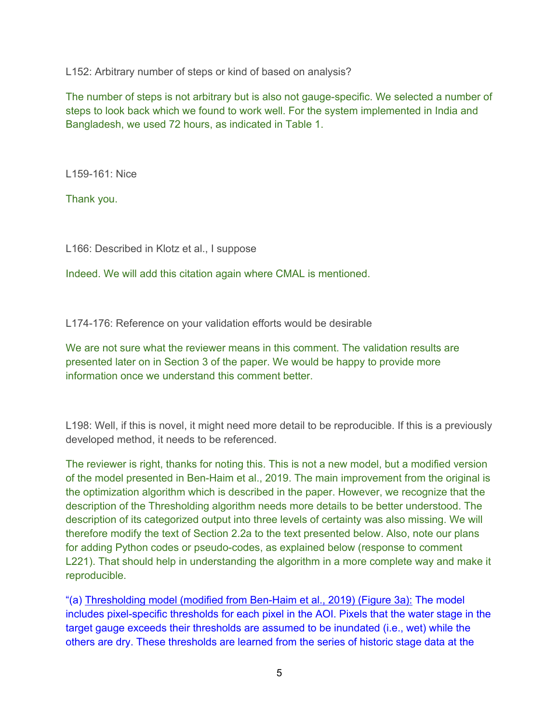L152: Arbitrary number of steps or kind of based on analysis?

The number of steps is not arbitrary but is also not gauge-specific. We selected a number of steps to look back which we found to work well. For the system implemented in India and Bangladesh, we used 72 hours, as indicated in Table 1.

L159-161: Nice

Thank you.

L166: Described in Klotz et al., I suppose

Indeed. We will add this citation again where CMAL is mentioned.

L174-176: Reference on your validation efforts would be desirable

We are not sure what the reviewer means in this comment. The validation results are presented later on in Section 3 of the paper. We would be happy to provide more information once we understand this comment better.

L198: Well, if this is novel, it might need more detail to be reproducible. If this is a previously developed method, it needs to be referenced.

The reviewer is right, thanks for noting this. This is not a new model, but a modified version of the model presented in Ben-Haim et al., 2019. The main improvement from the original is the optimization algorithm which is described in the paper. However, we recognize that the description of the Thresholding algorithm needs more details to be better understood. The description of its categorized output into three levels of certainty was also missing. We will therefore modify the text of Section 2.2a to the text presented below. Also, note our plans for adding Python codes or pseudo-codes, as explained below (response to comment L221). That should help in understanding the algorithm in a more complete way and make it reproducible.

"(a) Thresholding model (modified from Ben-Haim et al., 2019) (Figure 3a): The model includes pixel-specific thresholds for each pixel in the AOI. Pixels that the water stage in the target gauge exceeds their thresholds are assumed to be inundated (i.e., wet) while the others are dry. These thresholds are learned from the series of historic stage data at the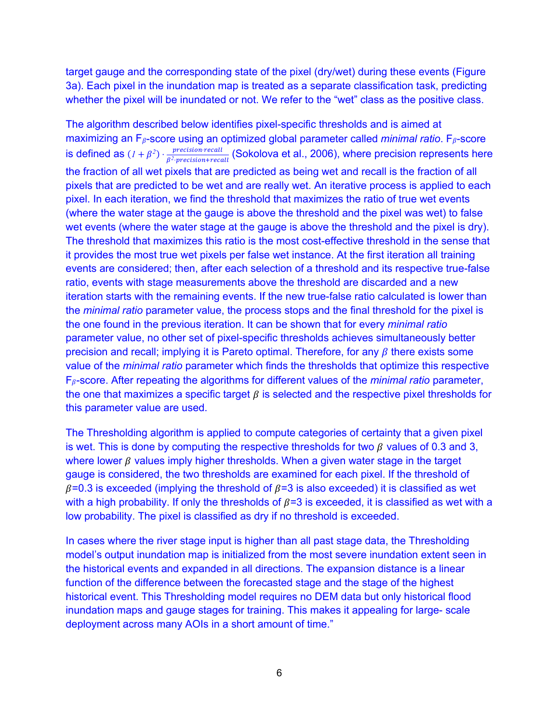target gauge and the corresponding state of the pixel (dry/wet) during these events (Figure 3a). Each pixel in the inundation map is treated as a separate classification task, predicting whether the pixel will be inundated or not. We refer to the "wet" class as the positive class.

The algorithm described below identifies pixel-specific thresholds and is aimed at maximizing an  $F_{\beta}$ -score using an optimized global parameter called *minimal ratio*.  $F_{\beta}$ -score is defined as  $(1 + \beta^2) \cdot \frac{precision \cdot recall}{\beta^2 \cdot precision + recall}$  (Sokolova et al., 2006), where precision represents here the fraction of all wet pixels that are predicted as being wet and recall is the fraction of all pixels that are predicted to be wet and are really wet. An iterative process is applied to each pixel. In each iteration, we find the threshold that maximizes the ratio of true wet events (where the water stage at the gauge is above the threshold and the pixel was wet) to false wet events (where the water stage at the gauge is above the threshold and the pixel is dry). The threshold that maximizes this ratio is the most cost-effective threshold in the sense that it provides the most true wet pixels per false wet instance. At the first iteration all training events are considered; then, after each selection of a threshold and its respective true-false ratio, events with stage measurements above the threshold are discarded and a new iteration starts with the remaining events. If the new true-false ratio calculated is lower than the *minimal ratio* parameter value, the process stops and the final threshold for the pixel is the one found in the previous iteration. It can be shown that for every *minimal ratio* parameter value, no other set of pixel-specific thresholds achieves simultaneously better precision and recall; implying it is Pareto optimal. Therefore, for any  $\beta$  there exists some value of the *minimal ratio* parameter which finds the thresholds that optimize this respective  $F_{\beta}$ -score. After repeating the algorithms for different values of the *minimal ratio* parameter, the one that maximizes a specific target  $\beta$  is selected and the respective pixel thresholds for this parameter value are used.

The Thresholding algorithm is applied to compute categories of certainty that a given pixel is wet. This is done by computing the respective thresholds for two  $\beta$  values of 0.3 and 3, where lower  $\beta$  values imply higher thresholds. When a given water stage in the target gauge is considered, the two thresholds are examined for each pixel. If the threshold of  $\beta$ =0.3 is exceeded (implying the threshold of  $\beta$ =3 is also exceeded) it is classified as wet with a high probability. If only the thresholds of  $\beta$ =3 is exceeded, it is classified as wet with a low probability. The pixel is classified as dry if no threshold is exceeded.

In cases where the river stage input is higher than all past stage data, the Thresholding model's output inundation map is initialized from the most severe inundation extent seen in the historical events and expanded in all directions. The expansion distance is a linear function of the difference between the forecasted stage and the stage of the highest historical event. This Thresholding model requires no DEM data but only historical flood inundation maps and gauge stages for training. This makes it appealing for large- scale deployment across many AOIs in a short amount of time."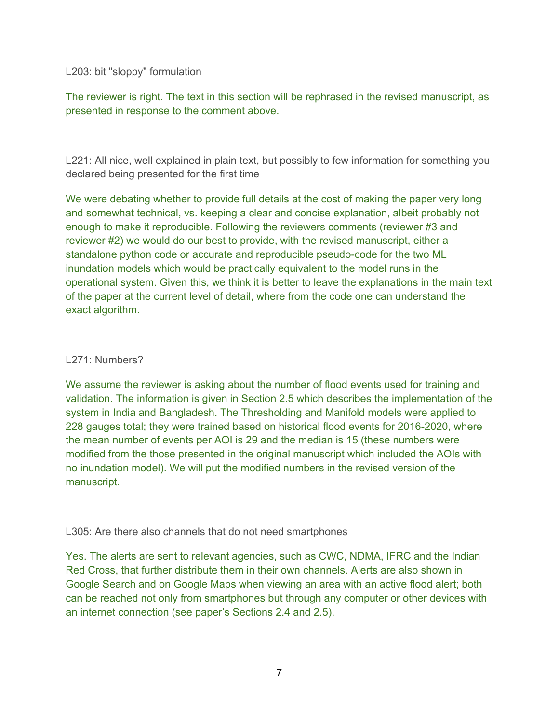L203: bit "sloppy" formulation

The reviewer is right. The text in this section will be rephrased in the revised manuscript, as presented in response to the comment above.

L221: All nice, well explained in plain text, but possibly to few information for something you declared being presented for the first time

We were debating whether to provide full details at the cost of making the paper very long and somewhat technical, vs. keeping a clear and concise explanation, albeit probably not enough to make it reproducible. Following the reviewers comments (reviewer #3 and reviewer #2) we would do our best to provide, with the revised manuscript, either a standalone python code or accurate and reproducible pseudo-code for the two ML inundation models which would be practically equivalent to the model runs in the operational system. Given this, we think it is better to leave the explanations in the main text of the paper at the current level of detail, where from the code one can understand the exact algorithm.

## L271: Numbers?

We assume the reviewer is asking about the number of flood events used for training and validation. The information is given in Section 2.5 which describes the implementation of the system in India and Bangladesh. The Thresholding and Manifold models were applied to 228 gauges total; they were trained based on historical flood events for 2016-2020, where the mean number of events per AOI is 29 and the median is 15 (these numbers were modified from the those presented in the original manuscript which included the AOIs with no inundation model). We will put the modified numbers in the revised version of the manuscript.

L305: Are there also channels that do not need smartphones

Yes. The alerts are sent to relevant agencies, such as CWC, NDMA, IFRC and the Indian Red Cross, that further distribute them in their own channels. Alerts are also shown in Google Search and on Google Maps when viewing an area with an active flood alert; both can be reached not only from smartphones but through any computer or other devices with an internet connection (see paper's Sections 2.4 and 2.5).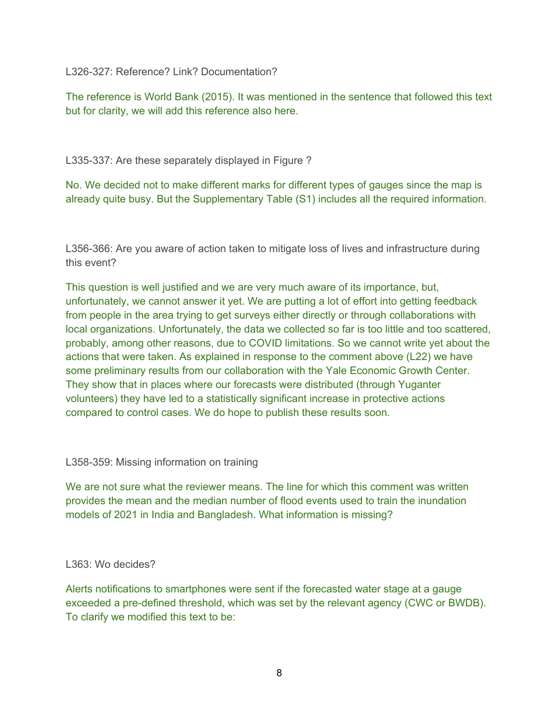L326-327: Reference? Link? Documentation?

The reference is World Bank (2015). It was mentioned in the sentence that followed this text but for clarity, we will add this reference also here.

L335-337: Are these separately displayed in Figure ?

No. We decided not to make different marks for different types of gauges since the map is already quite busy. But the Supplementary Table (S1) includes all the required information.

L356-366: Are you aware of action taken to mitigate loss of lives and infrastructure during this event?

This question is well justified and we are very much aware of its importance, but, unfortunately, we cannot answer it yet. We are putting a lot of effort into getting feedback from people in the area trying to get surveys either directly or through collaborations with local organizations. Unfortunately, the data we collected so far is too little and too scattered, probably, among other reasons, due to COVID limitations. So we cannot write yet about the actions that were taken. As explained in response to the comment above (L22) we have some preliminary results from our collaboration with the Yale Economic Growth Center. They show that in places where our forecasts were distributed (through Yuganter volunteers) they have led to a statistically significant increase in protective actions compared to control cases. We do hope to publish these results soon.

L358-359: Missing information on training

We are not sure what the reviewer means. The line for which this comment was written provides the mean and the median number of flood events used to train the inundation models of 2021 in India and Bangladesh. What information is missing?

## L363: Wo decides?

Alerts notifications to smartphones were sent if the forecasted water stage at a gauge exceeded a pre-defined threshold, which was set by the relevant agency (CWC or BWDB). To clarify we modified this text to be: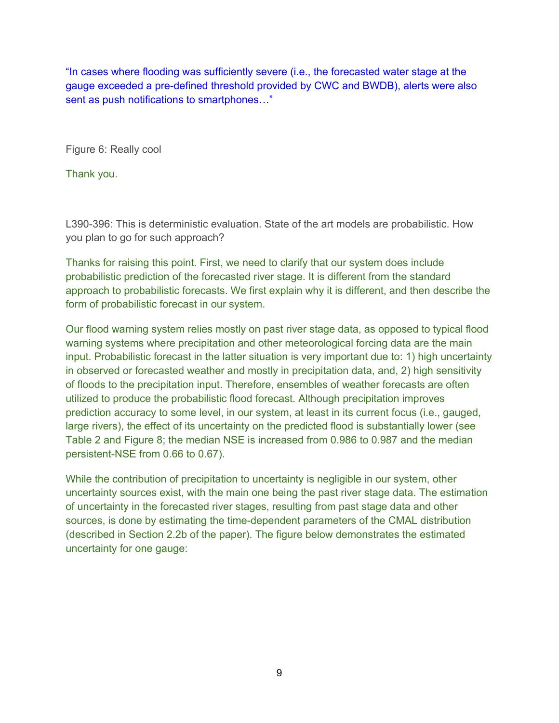"In cases where flooding was sufficiently severe (i.e., the forecasted water stage at the gauge exceeded a pre-defined threshold provided by CWC and BWDB), alerts were also sent as push notifications to smartphones…"

Figure 6: Really cool

Thank you.

L390-396: This is deterministic evaluation. State of the art models are probabilistic. How you plan to go for such approach?

Thanks for raising this point. First, we need to clarify that our system does include probabilistic prediction of the forecasted river stage. It is different from the standard approach to probabilistic forecasts. We first explain why it is different, and then describe the form of probabilistic forecast in our system.

Our flood warning system relies mostly on past river stage data, as opposed to typical flood warning systems where precipitation and other meteorological forcing data are the main input. Probabilistic forecast in the latter situation is very important due to: 1) high uncertainty in observed or forecasted weather and mostly in precipitation data, and, 2) high sensitivity of floods to the precipitation input. Therefore, ensembles of weather forecasts are often utilized to produce the probabilistic flood forecast. Although precipitation improves prediction accuracy to some level, in our system, at least in its current focus (i.e., gauged, large rivers), the effect of its uncertainty on the predicted flood is substantially lower (see Table 2 and Figure 8; the median NSE is increased from 0.986 to 0.987 and the median persistent-NSE from 0.66 to 0.67).

While the contribution of precipitation to uncertainty is negligible in our system, other uncertainty sources exist, with the main one being the past river stage data. The estimation of uncertainty in the forecasted river stages, resulting from past stage data and other sources, is done by estimating the time-dependent parameters of the CMAL distribution (described in Section 2.2b of the paper). The figure below demonstrates the estimated uncertainty for one gauge: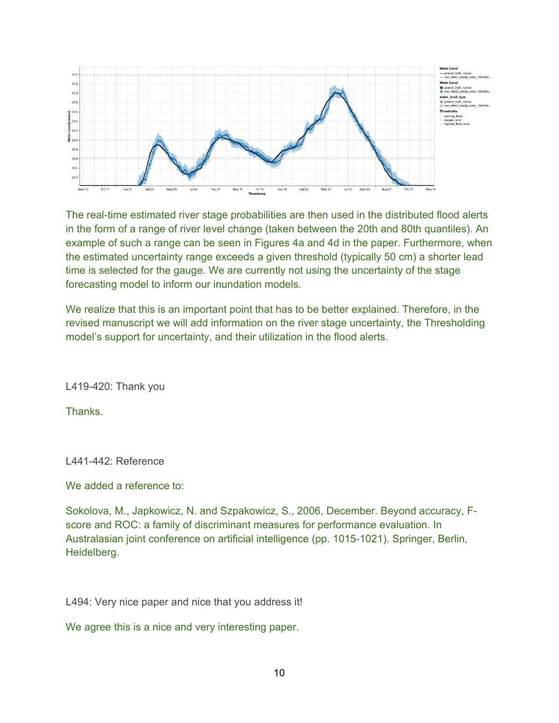

The real-time estimated river stage probabilities are then used in the distributed flood alerts in the form of a range of river level change (taken between the 20th and 80th quantiles). An example of such a range can be seen in Figures 4a and 4d in the paper. Furthermore, when the estimated uncertainty range exceeds a given threshold (typically 50 cm) a shorter lead time is selected for the gauge. We are currently not using the uncertainty of the stage forecasting model to inform our inundation models.

We realize that this is an important point that has to be better explained. Therefore, in the revised manuscript we will add information on the river stage uncertainty, the Thresholding model's support for uncertainty, and their utilization in the flood alerts.

L419-420: Thank you

**Thanks** 

L441-442: Reference

We added a reference to:

Sokolova, M., Japkowicz, N. and Szpakowicz, S., 2006, December. Beyond accuracy, Fscore and ROC: a family of discriminant measures for performance evaluation. In Australasian joint conference on artificial intelligence (pp. 1015-1021). Springer, Berlin, Heidelberg.

L494: Very nice paper and nice that you address it!

We agree this is a nice and very interesting paper.